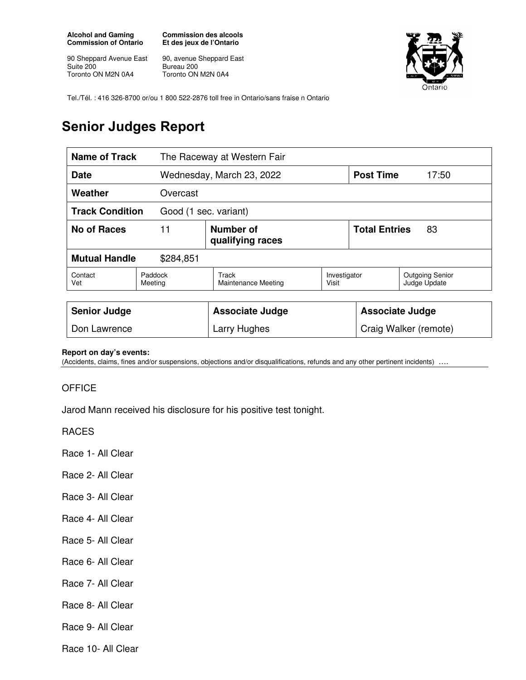**Alcohol and Gaming Commission of Ontario** 

90 Sheppard Avenue East Suite 200 Toronto ON M2N 0A4

**Commission des alcools Et des jeux de l'Ontario** 

90, avenue Sheppard East Bureau 200 Toronto ON M2N 0A4



Tel./Tél. : 416 326-8700 or/ou 1 800 522-2876 toll free in Ontario/sans fraise n Ontario

# **Senior Judges Report**

| <b>Name of Track</b><br>The Raceway at Western Fair |                                                           |                           |                       |                            |                                        |  |
|-----------------------------------------------------|-----------------------------------------------------------|---------------------------|-----------------------|----------------------------|----------------------------------------|--|
| <b>Date</b>                                         |                                                           | Wednesday, March 23, 2022 |                       | <b>Post Time</b>           | 17:50                                  |  |
| Weather<br>Overcast                                 |                                                           |                           |                       |                            |                                        |  |
| <b>Track Condition</b><br>Good (1 sec. variant)     |                                                           |                           |                       |                            |                                        |  |
| No of Races                                         | 11<br>Number of<br>qualifying races                       |                           |                       | <b>Total Entries</b><br>83 |                                        |  |
| <b>Mutual Handle</b><br>\$284,851                   |                                                           |                           |                       |                            |                                        |  |
| Contact<br>Vet                                      | Track<br>Paddock<br><b>Maintenance Meeting</b><br>Meeting |                           | Investigator<br>Visit |                            | <b>Outgoing Senior</b><br>Judge Update |  |
|                                                     |                                                           |                           |                       |                            |                                        |  |
| <b>Senior Judge</b>                                 |                                                           | <b>Associate Judge</b>    |                       | <b>Associate Judge</b>     |                                        |  |
| Don Lawrence                                        |                                                           | Larry Hughes              |                       | Craig Walker (remote)      |                                        |  |

#### **Report on day's events:**

(Accidents, claims, fines and/or suspensions, objections and/or disqualifications, refunds and any other pertinent incidents) ….

## **OFFICE**

Jarod Mann received his disclosure for his positive test tonight.

### RACES

- Race 1- All Clear
- Race 2- All Clear
- Race 3- All Clear
- Race 4- All Clear
- Race 5- All Clear
- Race 6- All Clear
- Race 7- All Clear
- Race 8- All Clear
- Race 9- All Clear
- Race 10- All Clear